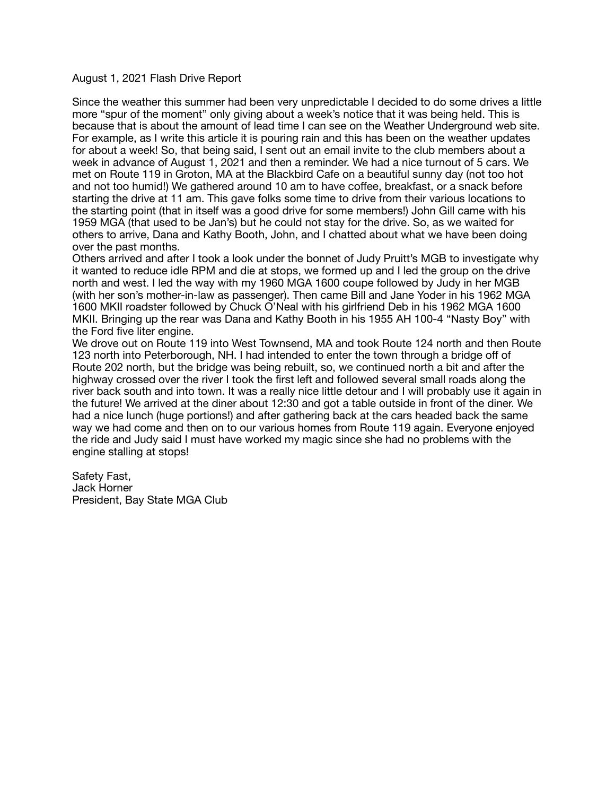## August 1, 2021 Flash Drive Report

Since the weather this summer had been very unpredictable I decided to do some drives a little more "spur of the moment" only giving about a week's notice that it was being held. This is because that is about the amount of lead time I can see on the Weather Underground web site. For example, as I write this article it is pouring rain and this has been on the weather updates for about a week! So, that being said, I sent out an email invite to the club members about a week in advance of August 1, 2021 and then a reminder. We had a nice turnout of 5 cars. We met on Route 119 in Groton, MA at the Blackbird Cafe on a beautiful sunny day (not too hot and not too humid!) We gathered around 10 am to have coffee, breakfast, or a snack before starting the drive at 11 am. This gave folks some time to drive from their various locations to the starting point (that in itself was a good drive for some members!) John Gill came with his 1959 MGA (that used to be Jan's) but he could not stay for the drive. So, as we waited for others to arrive, Dana and Kathy Booth, John, and I chatted about what we have been doing over the past months.

Others arrived and after I took a look under the bonnet of Judy Pruitt's MGB to investigate why it wanted to reduce idle RPM and die at stops, we formed up and I led the group on the drive north and west. I led the way with my 1960 MGA 1600 coupe followed by Judy in her MGB (with her son's mother-in-law as passenger). Then came Bill and Jane Yoder in his 1962 MGA 1600 MKII roadster followed by Chuck O'Neal with his girlfriend Deb in his 1962 MGA 1600 MKII. Bringing up the rear was Dana and Kathy Booth in his 1955 AH 100-4 "Nasty Boy" with the Ford five liter engine.

We drove out on Route 119 into West Townsend, MA and took Route 124 north and then Route 123 north into Peterborough, NH. I had intended to enter the town through a bridge off of Route 202 north, but the bridge was being rebuilt, so, we continued north a bit and after the highway crossed over the river I took the first left and followed several small roads along the river back south and into town. It was a really nice little detour and I will probably use it again in the future! We arrived at the diner about 12:30 and got a table outside in front of the diner. We had a nice lunch (huge portions!) and after gathering back at the cars headed back the same way we had come and then on to our various homes from Route 119 again. Everyone enjoyed the ride and Judy said I must have worked my magic since she had no problems with the engine stalling at stops!

Safety Fast, Jack Horner President, Bay State MGA Club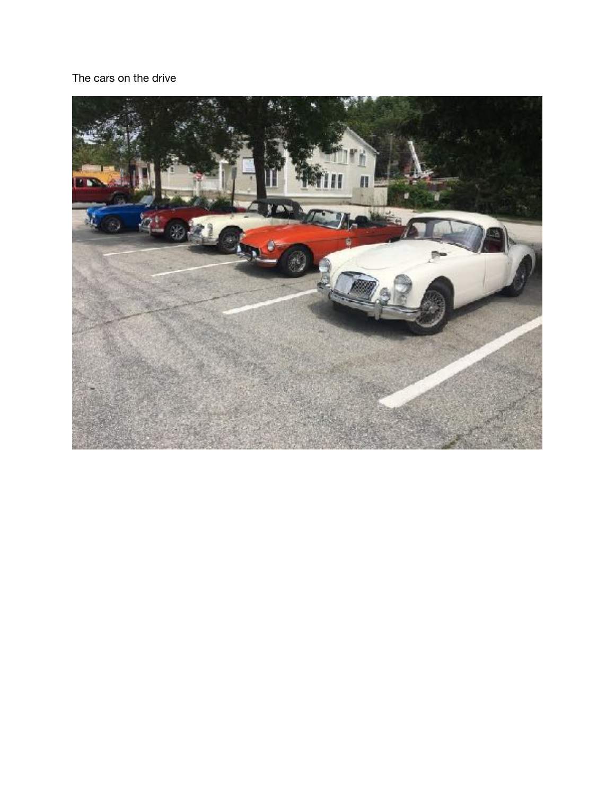## The cars on the drive

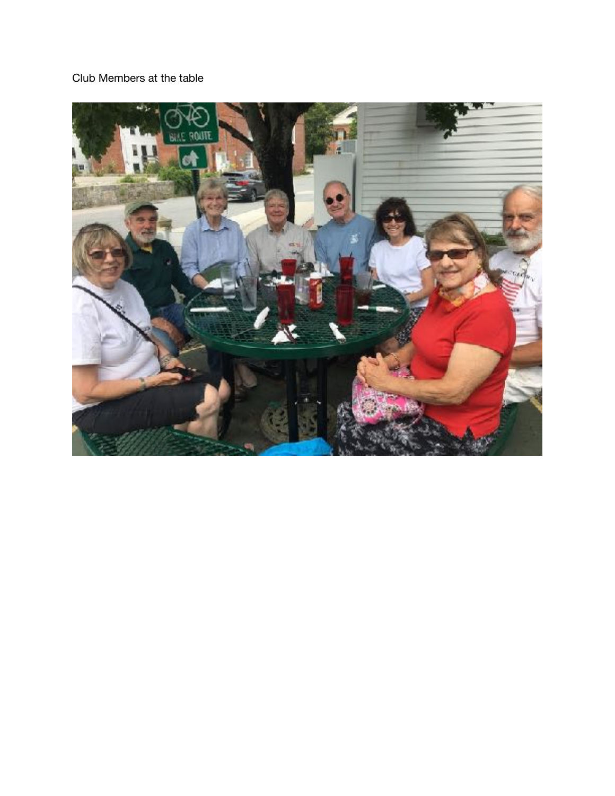## Club Members at the table